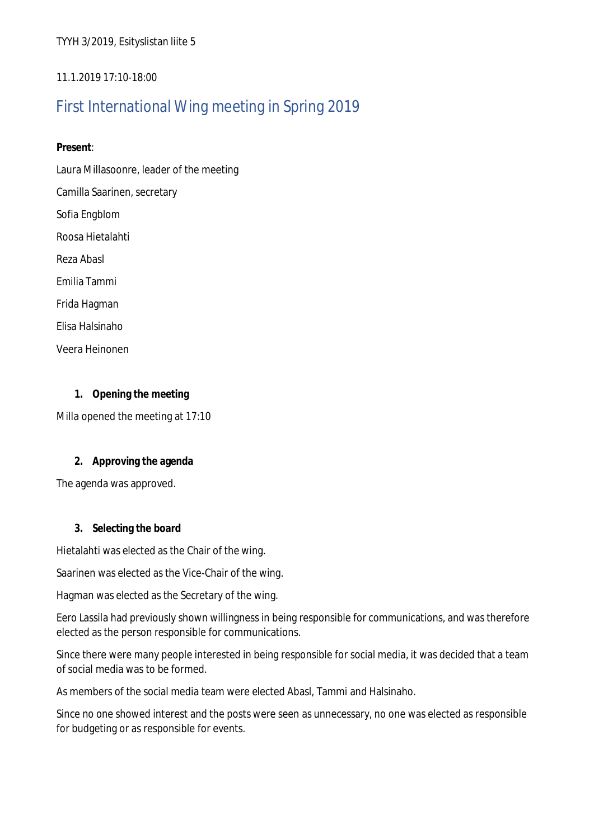TYYH 3/2019, Esityslistan liite 5

## 11.1.2019 17:10-18:00

# First International Wing meeting in Spring 2019

**Present**:

Laura Millasoonre, leader of the meeting

Camilla Saarinen, secretary

Sofia Engblom

Roosa Hietalahti

Reza Abasl

Emilia Tammi

Frida Hagman

Elisa Halsinaho

Veera Heinonen

**1. Opening the meeting** Milla opened the meeting at 17:10

**2. Approving the agenda**

The agenda was approved.

**3. Selecting the board**

Hietalahti was elected as the Chair of the wing.

Saarinen was elected as the Vice-Chair of the wing.

Hagman was elected as the Secretary of the wing.

Eero Lassila had previously shown willingness in being responsible for communications, and was therefore elected as the person responsible for communications.

Since there were many people interested in being responsible for social media, it was decided that a team of social media was to be formed.

As members of the social media team were elected Abasl, Tammi and Halsinaho.

Since no one showed interest and the posts were seen as unnecessary, no one was elected as responsible for budgeting or as responsible for events.